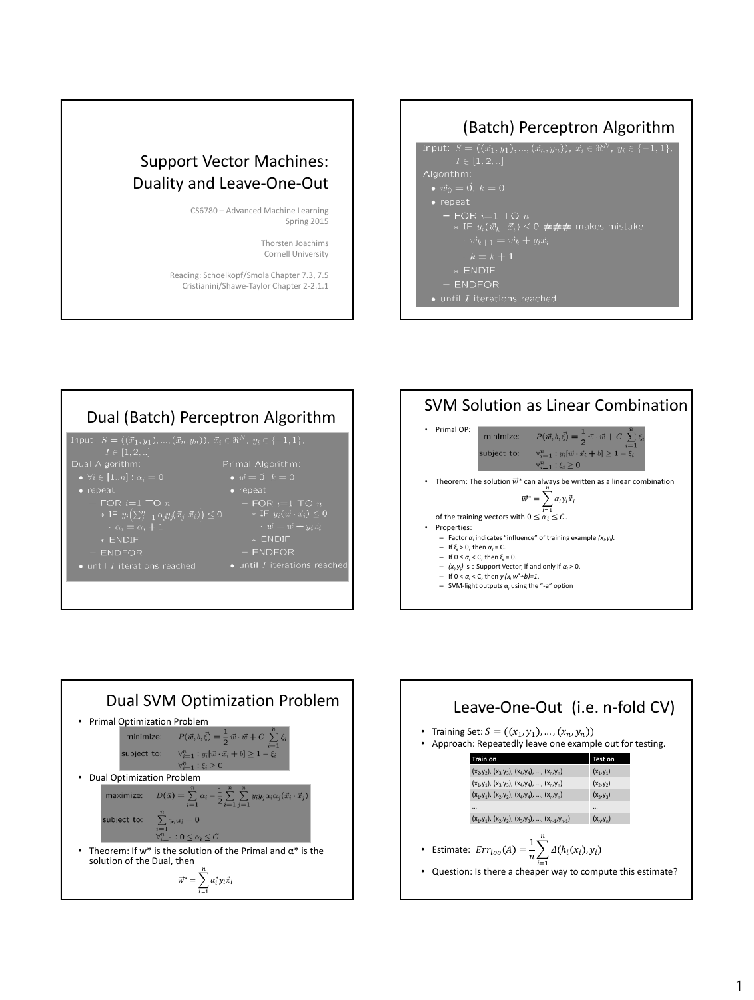## Support Vector Machines: Duality and Leave-One-Out

CS6780 – Advanced Machine Learning Spring 2015

> Thorsten Joachims Cornell University

Reading: Schoelkopf/Smola Chapter 7.3, 7.5 Cristianini/Shawe-Taylor Chapter 2-2.1.1

### (Batch) Perceptron Algorithm